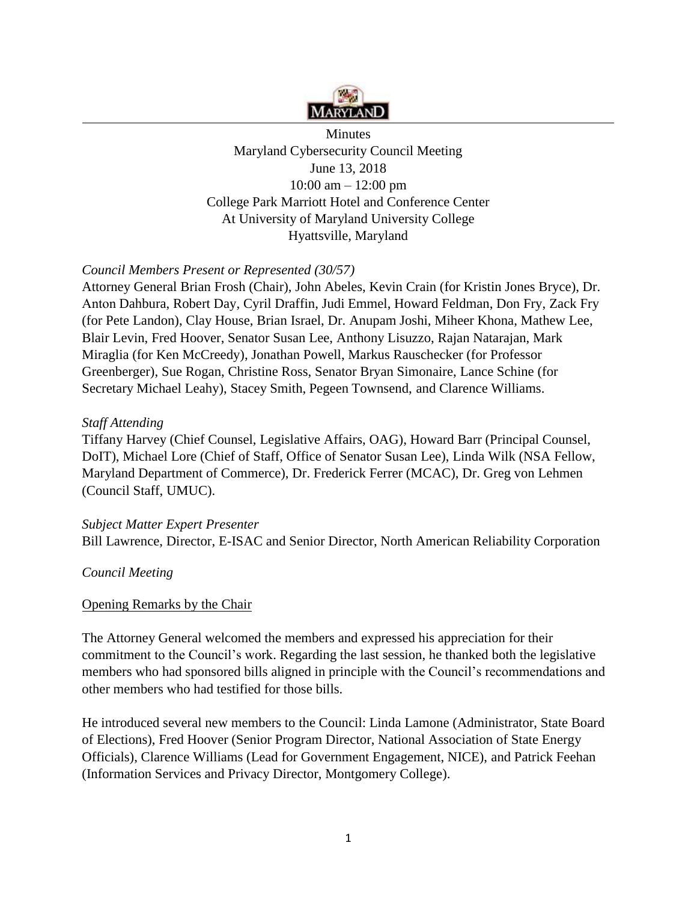

Minutes Maryland Cybersecurity Council Meeting June 13, 2018 10:00 am – 12:00 pm College Park Marriott Hotel and Conference Center At University of Maryland University College Hyattsville, Maryland

## *Council Members Present or Represented (30/57)*

Attorney General Brian Frosh (Chair), John Abeles, Kevin Crain (for Kristin Jones Bryce), Dr. Anton Dahbura, Robert Day, Cyril Draffin, Judi Emmel, Howard Feldman, Don Fry, Zack Fry (for Pete Landon), Clay House, Brian Israel, Dr. Anupam Joshi, Miheer Khona, Mathew Lee, Blair Levin, Fred Hoover, Senator Susan Lee, Anthony Lisuzzo, Rajan Natarajan, Mark Miraglia (for Ken McCreedy), Jonathan Powell, Markus Rauschecker (for Professor Greenberger), Sue Rogan, Christine Ross, Senator Bryan Simonaire, Lance Schine (for Secretary Michael Leahy), Stacey Smith, Pegeen Townsend, and Clarence Williams.

#### *Staff Attending*

Tiffany Harvey (Chief Counsel, Legislative Affairs, OAG), Howard Barr (Principal Counsel, DoIT), Michael Lore (Chief of Staff, Office of Senator Susan Lee), Linda Wilk (NSA Fellow, Maryland Department of Commerce), Dr. Frederick Ferrer (MCAC), Dr. Greg von Lehmen (Council Staff, UMUC).

### *Subject Matter Expert Presenter*

Bill Lawrence, Director, E-ISAC and Senior Director, North American Reliability Corporation

### *Council Meeting*

### Opening Remarks by the Chair

The Attorney General welcomed the members and expressed his appreciation for their commitment to the Council's work. Regarding the last session, he thanked both the legislative members who had sponsored bills aligned in principle with the Council's recommendations and other members who had testified for those bills.

He introduced several new members to the Council: Linda Lamone (Administrator, State Board of Elections), Fred Hoover (Senior Program Director, National Association of State Energy Officials), Clarence Williams (Lead for Government Engagement, NICE), and Patrick Feehan (Information Services and Privacy Director, Montgomery College).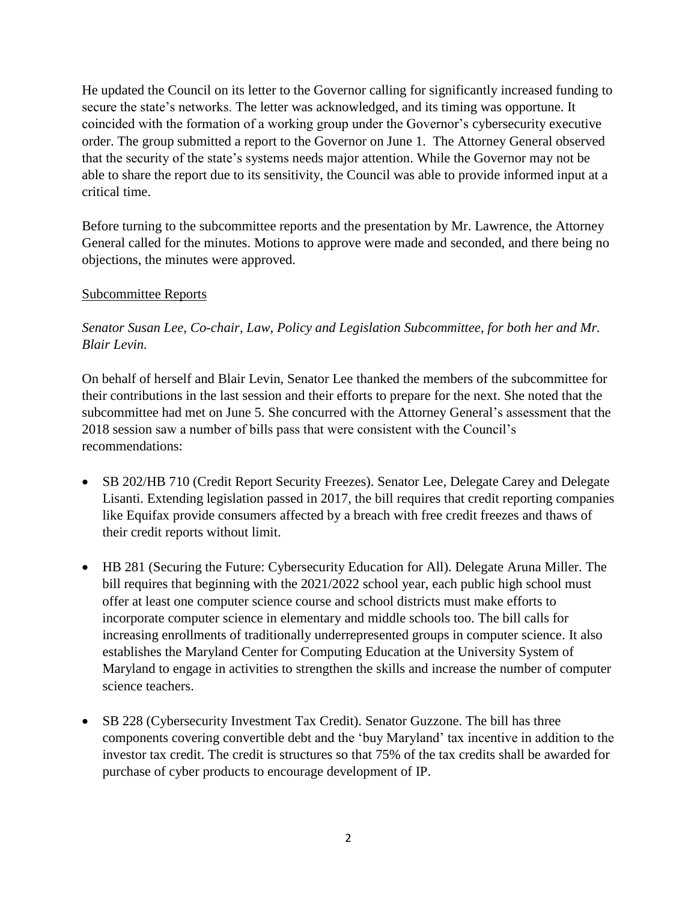He updated the Council on its letter to the Governor calling for significantly increased funding to secure the state's networks. The letter was acknowledged, and its timing was opportune. It coincided with the formation of a working group under the Governor's cybersecurity executive order. The group submitted a report to the Governor on June 1. The Attorney General observed that the security of the state's systems needs major attention. While the Governor may not be able to share the report due to its sensitivity, the Council was able to provide informed input at a critical time.

Before turning to the subcommittee reports and the presentation by Mr. Lawrence, the Attorney General called for the minutes. Motions to approve were made and seconded, and there being no objections, the minutes were approved.

#### Subcommittee Reports

## *Senator Susan Lee, Co-chair, Law, Policy and Legislation Subcommittee, for both her and Mr. Blair Levin.*

On behalf of herself and Blair Levin, Senator Lee thanked the members of the subcommittee for their contributions in the last session and their efforts to prepare for the next. She noted that the subcommittee had met on June 5. She concurred with the Attorney General's assessment that the 2018 session saw a number of bills pass that were consistent with the Council's recommendations:

- SB 202/HB 710 (Credit Report Security Freezes). Senator Lee, Delegate Carey and Delegate Lisanti. Extending legislation passed in 2017, the bill requires that credit reporting companies like Equifax provide consumers affected by a breach with free credit freezes and thaws of their credit reports without limit.
- HB 281 (Securing the Future: Cybersecurity Education for All). Delegate Aruna Miller. The bill requires that beginning with the 2021/2022 school year, each public high school must offer at least one computer science course and school districts must make efforts to incorporate computer science in elementary and middle schools too. The bill calls for increasing enrollments of traditionally underrepresented groups in computer science. It also establishes the Maryland Center for Computing Education at the University System of Maryland to engage in activities to strengthen the skills and increase the number of computer science teachers.
- SB 228 (Cybersecurity Investment Tax Credit). Senator Guzzone. The bill has three components covering convertible debt and the 'buy Maryland' tax incentive in addition to the investor tax credit. The credit is structures so that 75% of the tax credits shall be awarded for purchase of cyber products to encourage development of IP.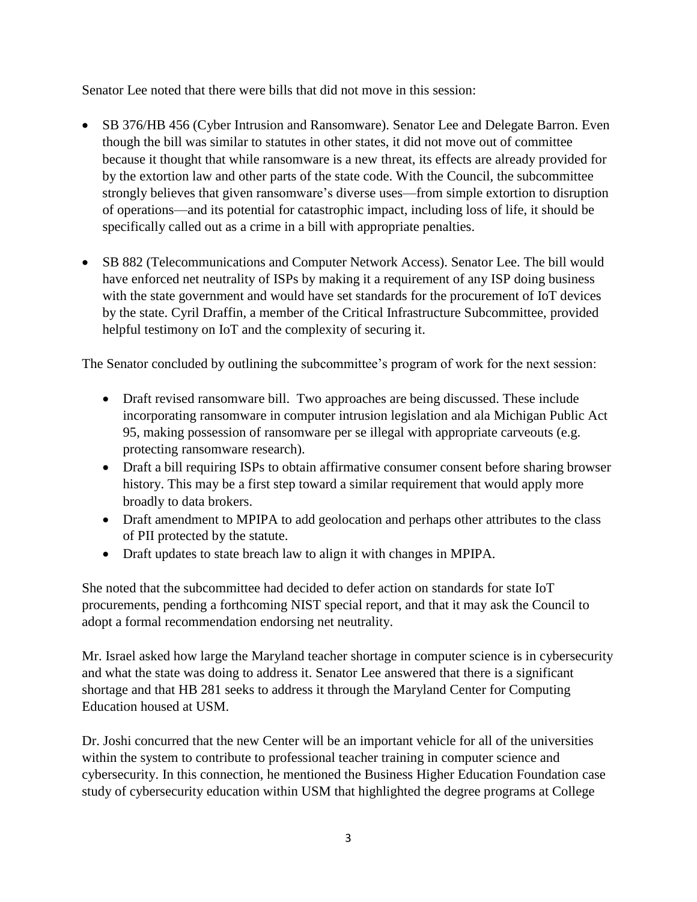Senator Lee noted that there were bills that did not move in this session:

- SB 376/HB 456 (Cyber Intrusion and Ransomware). Senator Lee and Delegate Barron. Even though the bill was similar to statutes in other states, it did not move out of committee because it thought that while ransomware is a new threat, its effects are already provided for by the extortion law and other parts of the state code. With the Council, the subcommittee strongly believes that given ransomware's diverse uses—from simple extortion to disruption of operations—and its potential for catastrophic impact, including loss of life, it should be specifically called out as a crime in a bill with appropriate penalties.
- SB 882 (Telecommunications and Computer Network Access). Senator Lee. The bill would have enforced net neutrality of ISPs by making it a requirement of any ISP doing business with the state government and would have set standards for the procurement of IoT devices by the state. Cyril Draffin, a member of the Critical Infrastructure Subcommittee, provided helpful testimony on IoT and the complexity of securing it.

The Senator concluded by outlining the subcommittee's program of work for the next session:

- Draft revised ransomware bill. Two approaches are being discussed. These include incorporating ransomware in computer intrusion legislation and ala Michigan Public Act 95, making possession of ransomware per se illegal with appropriate carveouts (e.g. protecting ransomware research).
- Draft a bill requiring ISPs to obtain affirmative consumer consent before sharing browser history. This may be a first step toward a similar requirement that would apply more broadly to data brokers.
- Draft amendment to MPIPA to add geolocation and perhaps other attributes to the class of PII protected by the statute.
- Draft updates to state breach law to align it with changes in MPIPA.

She noted that the subcommittee had decided to defer action on standards for state IoT procurements, pending a forthcoming NIST special report, and that it may ask the Council to adopt a formal recommendation endorsing net neutrality.

Mr. Israel asked how large the Maryland teacher shortage in computer science is in cybersecurity and what the state was doing to address it. Senator Lee answered that there is a significant shortage and that HB 281 seeks to address it through the Maryland Center for Computing Education housed at USM.

Dr. Joshi concurred that the new Center will be an important vehicle for all of the universities within the system to contribute to professional teacher training in computer science and cybersecurity. In this connection, he mentioned the Business Higher Education Foundation case study of cybersecurity education within USM that highlighted the degree programs at College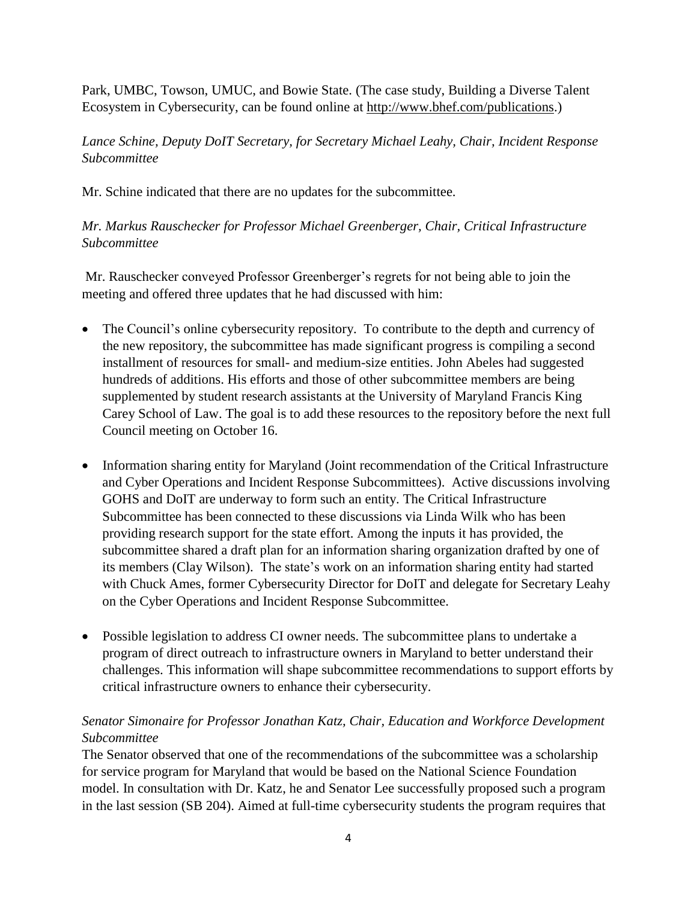Park, UMBC, Towson, UMUC, and Bowie State. (The case study, Building a Diverse Talent Ecosystem in Cybersecurity, can be found online at [http://www.bhef.com/publications.](http://www.bhef.com/publications))

# *Lance Schine, Deputy DoIT Secretary, for Secretary Michael Leahy, Chair, Incident Response Subcommittee*

Mr. Schine indicated that there are no updates for the subcommittee.

# *Mr. Markus Rauschecker for Professor Michael Greenberger, Chair, Critical Infrastructure Subcommittee*

Mr. Rauschecker conveyed Professor Greenberger's regrets for not being able to join the meeting and offered three updates that he had discussed with him:

- The Council's online cybersecurity repository. To contribute to the depth and currency of the new repository, the subcommittee has made significant progress is compiling a second installment of resources for small- and medium-size entities. John Abeles had suggested hundreds of additions. His efforts and those of other subcommittee members are being supplemented by student research assistants at the University of Maryland Francis King Carey School of Law. The goal is to add these resources to the repository before the next full Council meeting on October 16.
- Information sharing entity for Maryland (Joint recommendation of the Critical Infrastructure and Cyber Operations and Incident Response Subcommittees). Active discussions involving GOHS and DoIT are underway to form such an entity. The Critical Infrastructure Subcommittee has been connected to these discussions via Linda Wilk who has been providing research support for the state effort. Among the inputs it has provided, the subcommittee shared a draft plan for an information sharing organization drafted by one of its members (Clay Wilson). The state's work on an information sharing entity had started with Chuck Ames, former Cybersecurity Director for DoIT and delegate for Secretary Leahy on the Cyber Operations and Incident Response Subcommittee.
- Possible legislation to address CI owner needs. The subcommittee plans to undertake a program of direct outreach to infrastructure owners in Maryland to better understand their challenges. This information will shape subcommittee recommendations to support efforts by critical infrastructure owners to enhance their cybersecurity.

# *Senator Simonaire for Professor Jonathan Katz, Chair, Education and Workforce Development Subcommittee*

The Senator observed that one of the recommendations of the subcommittee was a scholarship for service program for Maryland that would be based on the National Science Foundation model. In consultation with Dr. Katz, he and Senator Lee successfully proposed such a program in the last session (SB 204). Aimed at full-time cybersecurity students the program requires that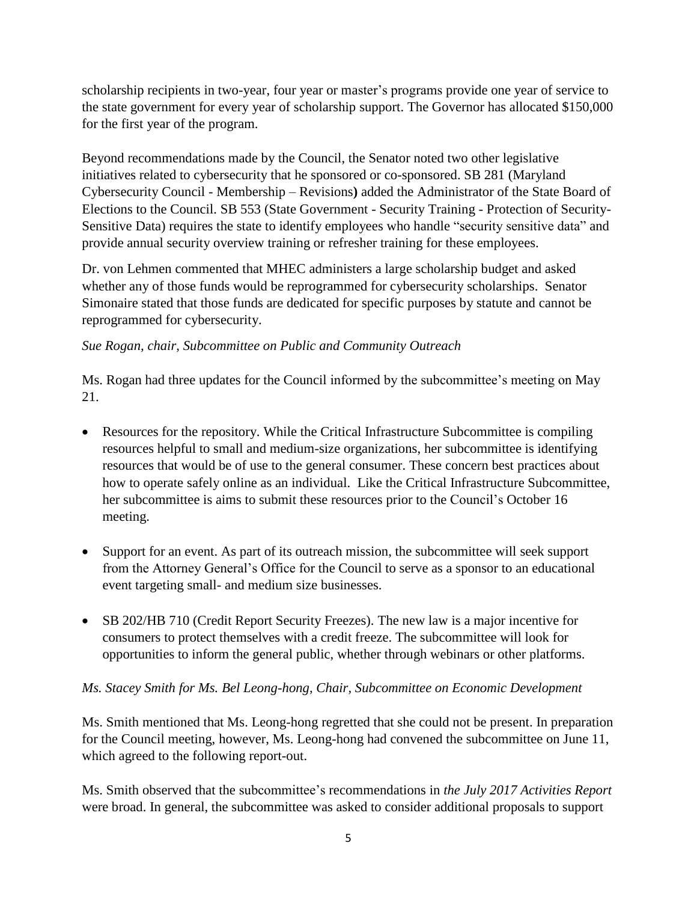scholarship recipients in two-year, four year or master's programs provide one year of service to the state government for every year of scholarship support. The Governor has allocated \$150,000 for the first year of the program.

Beyond recommendations made by the Council, the Senator noted two other legislative initiatives related to cybersecurity that he sponsored or co-sponsored. SB 281 (Maryland Cybersecurity Council - Membership – Revisions**)** added the Administrator of the State Board of Elections to the Council. SB 553 (State Government - Security Training - Protection of Security-Sensitive Data) requires the state to identify employees who handle "security sensitive data" and provide annual security overview training or refresher training for these employees.

Dr. von Lehmen commented that MHEC administers a large scholarship budget and asked whether any of those funds would be reprogrammed for cybersecurity scholarships. Senator Simonaire stated that those funds are dedicated for specific purposes by statute and cannot be reprogrammed for cybersecurity.

### *Sue Rogan, chair, Subcommittee on Public and Community Outreach*

Ms. Rogan had three updates for the Council informed by the subcommittee's meeting on May 21.

- Resources for the repository. While the Critical Infrastructure Subcommittee is compiling resources helpful to small and medium-size organizations, her subcommittee is identifying resources that would be of use to the general consumer. These concern best practices about how to operate safely online as an individual. Like the Critical Infrastructure Subcommittee, her subcommittee is aims to submit these resources prior to the Council's October 16 meeting.
- Support for an event. As part of its outreach mission, the subcommittee will seek support from the Attorney General's Office for the Council to serve as a sponsor to an educational event targeting small- and medium size businesses.
- SB 202/HB 710 (Credit Report Security Freezes). The new law is a major incentive for consumers to protect themselves with a credit freeze. The subcommittee will look for opportunities to inform the general public, whether through webinars or other platforms.

### *Ms. Stacey Smith for Ms. Bel Leong-hong, Chair, Subcommittee on Economic Development*

Ms. Smith mentioned that Ms. Leong-hong regretted that she could not be present. In preparation for the Council meeting, however, Ms. Leong-hong had convened the subcommittee on June 11, which agreed to the following report-out.

Ms. Smith observed that the subcommittee's recommendations in *the July 2017 Activities Report* were broad. In general, the subcommittee was asked to consider additional proposals to support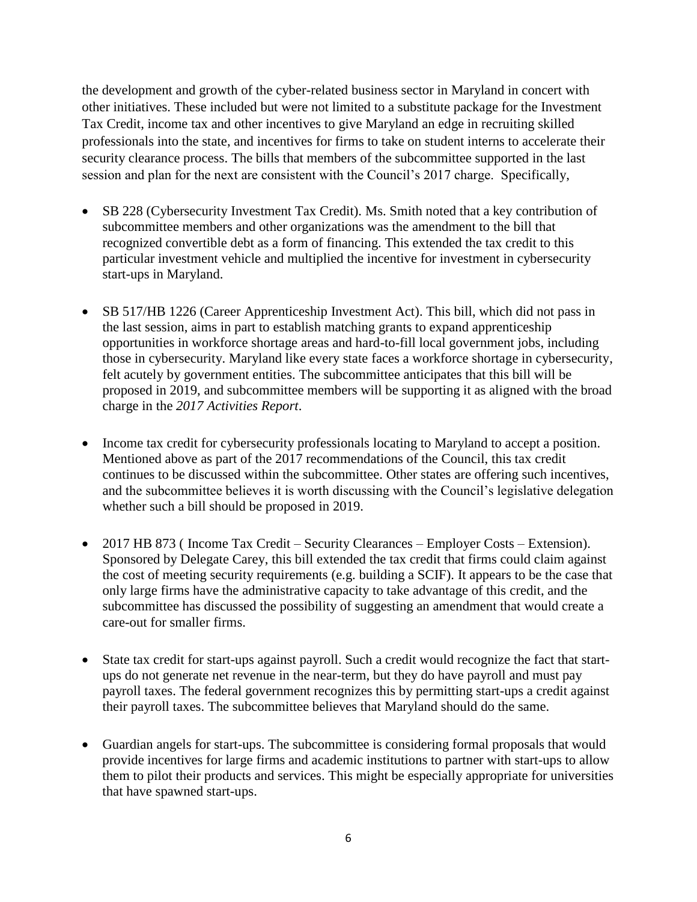the development and growth of the cyber-related business sector in Maryland in concert with other initiatives. These included but were not limited to a substitute package for the Investment Tax Credit, income tax and other incentives to give Maryland an edge in recruiting skilled professionals into the state, and incentives for firms to take on student interns to accelerate their security clearance process. The bills that members of the subcommittee supported in the last session and plan for the next are consistent with the Council's 2017 charge. Specifically,

- SB 228 (Cybersecurity Investment Tax Credit). Ms. Smith noted that a key contribution of subcommittee members and other organizations was the amendment to the bill that recognized convertible debt as a form of financing. This extended the tax credit to this particular investment vehicle and multiplied the incentive for investment in cybersecurity start-ups in Maryland.
- SB 517/HB 1226 (Career Apprenticeship Investment Act). This bill, which did not pass in the last session, aims in part to establish matching grants to expand apprenticeship opportunities in workforce shortage areas and hard-to-fill local government jobs, including those in cybersecurity. Maryland like every state faces a workforce shortage in cybersecurity, felt acutely by government entities. The subcommittee anticipates that this bill will be proposed in 2019, and subcommittee members will be supporting it as aligned with the broad charge in the *2017 Activities Report*.
- Income tax credit for cybersecurity professionals locating to Maryland to accept a position. Mentioned above as part of the 2017 recommendations of the Council, this tax credit continues to be discussed within the subcommittee. Other states are offering such incentives, and the subcommittee believes it is worth discussing with the Council's legislative delegation whether such a bill should be proposed in 2019.
- 2017 HB 873 (Income Tax Credit Security Clearances Employer Costs Extension). Sponsored by Delegate Carey, this bill extended the tax credit that firms could claim against the cost of meeting security requirements (e.g. building a SCIF). It appears to be the case that only large firms have the administrative capacity to take advantage of this credit, and the subcommittee has discussed the possibility of suggesting an amendment that would create a care-out for smaller firms.
- State tax credit for start-ups against payroll. Such a credit would recognize the fact that startups do not generate net revenue in the near-term, but they do have payroll and must pay payroll taxes. The federal government recognizes this by permitting start-ups a credit against their payroll taxes. The subcommittee believes that Maryland should do the same.
- Guardian angels for start-ups. The subcommittee is considering formal proposals that would provide incentives for large firms and academic institutions to partner with start-ups to allow them to pilot their products and services. This might be especially appropriate for universities that have spawned start-ups.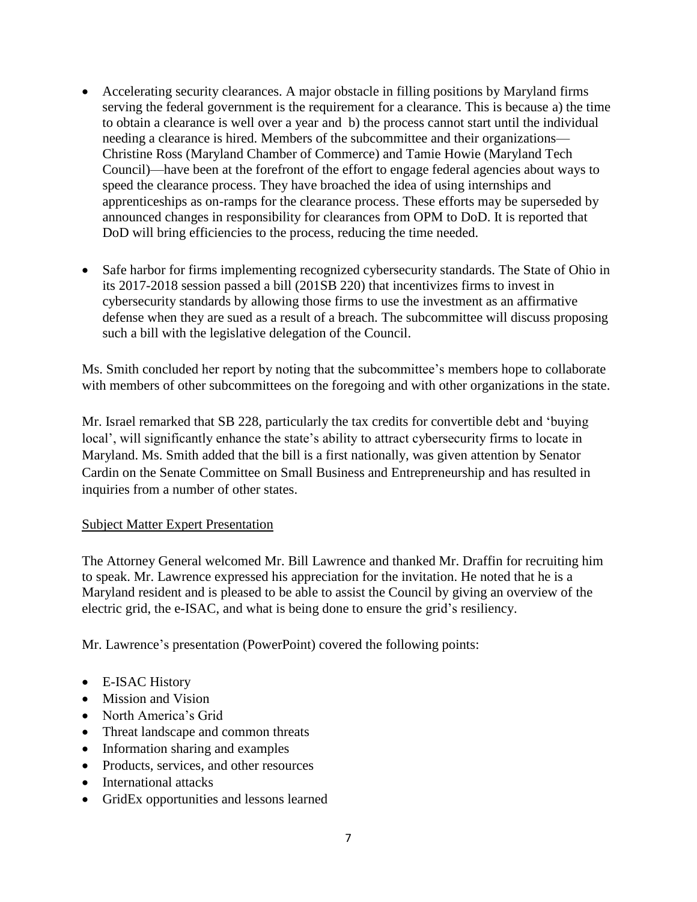- Accelerating security clearances. A major obstacle in filling positions by Maryland firms serving the federal government is the requirement for a clearance. This is because a) the time to obtain a clearance is well over a year and b) the process cannot start until the individual needing a clearance is hired. Members of the subcommittee and their organizations— Christine Ross (Maryland Chamber of Commerce) and Tamie Howie (Maryland Tech Council)—have been at the forefront of the effort to engage federal agencies about ways to speed the clearance process. They have broached the idea of using internships and apprenticeships as on-ramps for the clearance process. These efforts may be superseded by announced changes in responsibility for clearances from OPM to DoD. It is reported that DoD will bring efficiencies to the process, reducing the time needed.
- Safe harbor for firms implementing recognized cybersecurity standards. The State of Ohio in its 2017-2018 session passed a bill (201SB 220) that incentivizes firms to invest in cybersecurity standards by allowing those firms to use the investment as an affirmative defense when they are sued as a result of a breach. The subcommittee will discuss proposing such a bill with the legislative delegation of the Council.

Ms. Smith concluded her report by noting that the subcommittee's members hope to collaborate with members of other subcommittees on the foregoing and with other organizations in the state.

Mr. Israel remarked that SB 228, particularly the tax credits for convertible debt and 'buying local', will significantly enhance the state's ability to attract cybersecurity firms to locate in Maryland. Ms. Smith added that the bill is a first nationally, was given attention by Senator Cardin on the Senate Committee on Small Business and Entrepreneurship and has resulted in inquiries from a number of other states.

### Subject Matter Expert Presentation

The Attorney General welcomed Mr. Bill Lawrence and thanked Mr. Draffin for recruiting him to speak. Mr. Lawrence expressed his appreciation for the invitation. He noted that he is a Maryland resident and is pleased to be able to assist the Council by giving an overview of the electric grid, the e-ISAC, and what is being done to ensure the grid's resiliency.

Mr. Lawrence's presentation (PowerPoint) covered the following points:

- E-ISAC History
- Mission and Vision
- North America's Grid
- Threat landscape and common threats
- Information sharing and examples
- Products, services, and other resources
- International attacks
- GridEx opportunities and lessons learned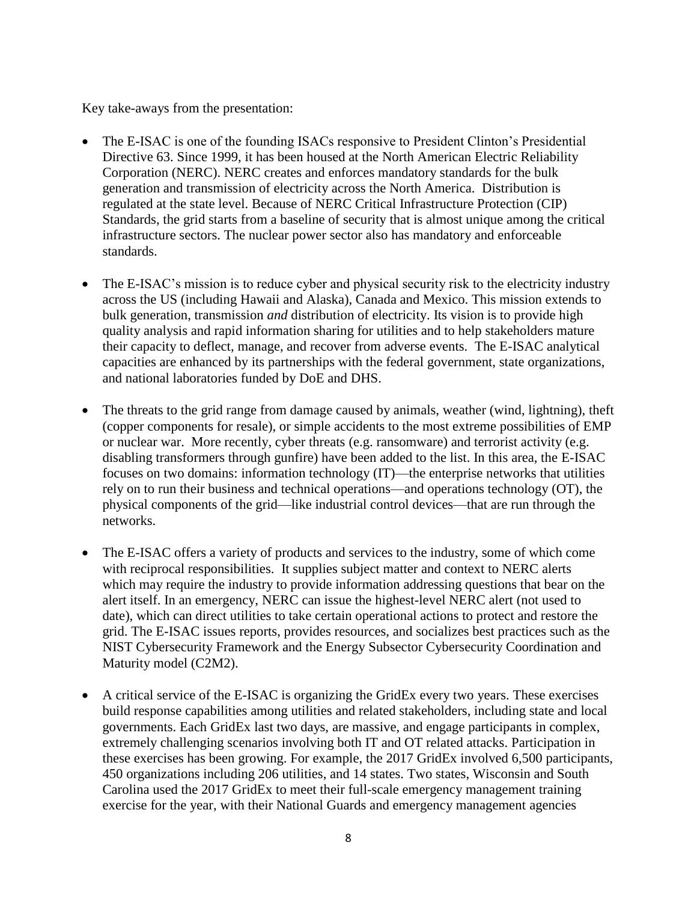Key take-aways from the presentation:

- The E-ISAC is one of the founding ISACs responsive to President Clinton's Presidential Directive 63. Since 1999, it has been housed at the North American Electric Reliability Corporation (NERC). NERC creates and enforces mandatory standards for the bulk generation and transmission of electricity across the North America. Distribution is regulated at the state level. Because of NERC Critical Infrastructure Protection (CIP) Standards, the grid starts from a baseline of security that is almost unique among the critical infrastructure sectors. The nuclear power sector also has mandatory and enforceable standards.
- The E-ISAC's mission is to reduce cyber and physical security risk to the electricity industry across the US (including Hawaii and Alaska), Canada and Mexico. This mission extends to bulk generation, transmission *and* distribution of electricity. Its vision is to provide high quality analysis and rapid information sharing for utilities and to help stakeholders mature their capacity to deflect, manage, and recover from adverse events. The E-ISAC analytical capacities are enhanced by its partnerships with the federal government, state organizations, and national laboratories funded by DoE and DHS.
- The threats to the grid range from damage caused by animals, weather (wind, lightning), theft (copper components for resale), or simple accidents to the most extreme possibilities of EMP or nuclear war. More recently, cyber threats (e.g. ransomware) and terrorist activity (e.g. disabling transformers through gunfire) have been added to the list. In this area, the E-ISAC focuses on two domains: information technology (IT)—the enterprise networks that utilities rely on to run their business and technical operations—and operations technology (OT), the physical components of the grid—like industrial control devices—that are run through the networks.
- The E-ISAC offers a variety of products and services to the industry, some of which come with reciprocal responsibilities. It supplies subject matter and context to NERC alerts which may require the industry to provide information addressing questions that bear on the alert itself. In an emergency, NERC can issue the highest-level NERC alert (not used to date), which can direct utilities to take certain operational actions to protect and restore the grid. The E-ISAC issues reports, provides resources, and socializes best practices such as the NIST Cybersecurity Framework and the Energy Subsector Cybersecurity Coordination and Maturity model (C2M2).
- A critical service of the E-ISAC is organizing the GridEx every two years. These exercises build response capabilities among utilities and related stakeholders, including state and local governments. Each GridEx last two days, are massive, and engage participants in complex, extremely challenging scenarios involving both IT and OT related attacks. Participation in these exercises has been growing. For example, the 2017 GridEx involved 6,500 participants, 450 organizations including 206 utilities, and 14 states. Two states, Wisconsin and South Carolina used the 2017 GridEx to meet their full-scale emergency management training exercise for the year, with their National Guards and emergency management agencies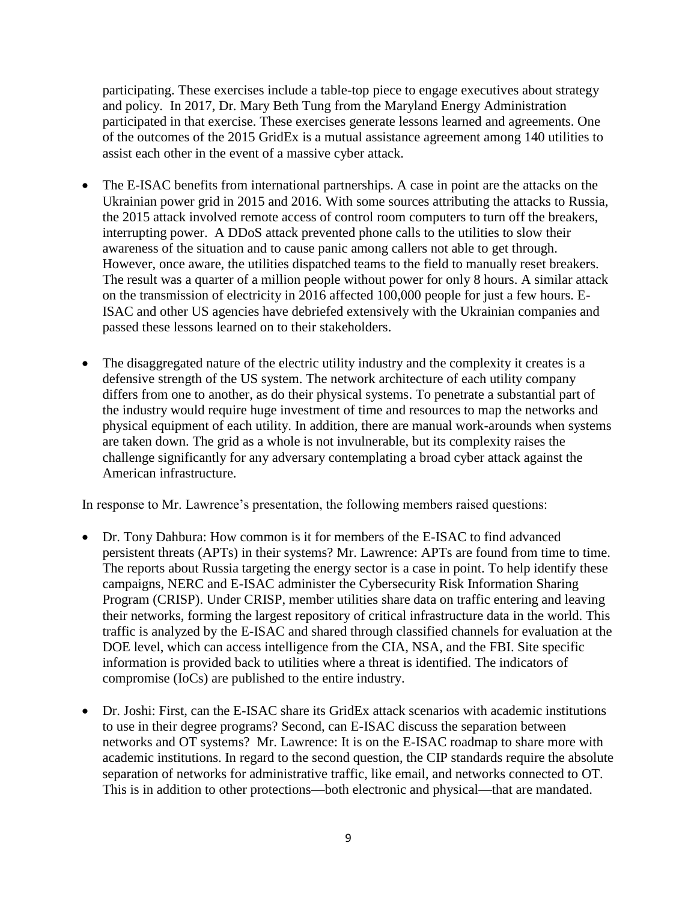participating. These exercises include a table-top piece to engage executives about strategy and policy. In 2017, Dr. Mary Beth Tung from the Maryland Energy Administration participated in that exercise. These exercises generate lessons learned and agreements. One of the outcomes of the 2015 GridEx is a mutual assistance agreement among 140 utilities to assist each other in the event of a massive cyber attack.

- The E-ISAC benefits from international partnerships. A case in point are the attacks on the Ukrainian power grid in 2015 and 2016. With some sources attributing the attacks to Russia, the 2015 attack involved remote access of control room computers to turn off the breakers, interrupting power. A DDoS attack prevented phone calls to the utilities to slow their awareness of the situation and to cause panic among callers not able to get through. However, once aware, the utilities dispatched teams to the field to manually reset breakers. The result was a quarter of a million people without power for only 8 hours. A similar attack on the transmission of electricity in 2016 affected 100,000 people for just a few hours. E-ISAC and other US agencies have debriefed extensively with the Ukrainian companies and passed these lessons learned on to their stakeholders.
- The disaggregated nature of the electric utility industry and the complexity it creates is a defensive strength of the US system. The network architecture of each utility company differs from one to another, as do their physical systems. To penetrate a substantial part of the industry would require huge investment of time and resources to map the networks and physical equipment of each utility. In addition, there are manual work-arounds when systems are taken down. The grid as a whole is not invulnerable, but its complexity raises the challenge significantly for any adversary contemplating a broad cyber attack against the American infrastructure.

In response to Mr. Lawrence's presentation, the following members raised questions:

- Dr. Tony Dahbura: How common is it for members of the E-ISAC to find advanced persistent threats (APTs) in their systems? Mr. Lawrence: APTs are found from time to time. The reports about Russia targeting the energy sector is a case in point. To help identify these campaigns, NERC and E-ISAC administer the Cybersecurity Risk Information Sharing Program (CRISP). Under CRISP, member utilities share data on traffic entering and leaving their networks, forming the largest repository of critical infrastructure data in the world. This traffic is analyzed by the E-ISAC and shared through classified channels for evaluation at the DOE level, which can access intelligence from the CIA, NSA, and the FBI. Site specific information is provided back to utilities where a threat is identified. The indicators of compromise (IoCs) are published to the entire industry.
- Dr. Joshi: First, can the E-ISAC share its GridEx attack scenarios with academic institutions to use in their degree programs? Second, can E-ISAC discuss the separation between networks and OT systems? Mr. Lawrence: It is on the E-ISAC roadmap to share more with academic institutions. In regard to the second question, the CIP standards require the absolute separation of networks for administrative traffic, like email, and networks connected to OT. This is in addition to other protections—both electronic and physical—that are mandated.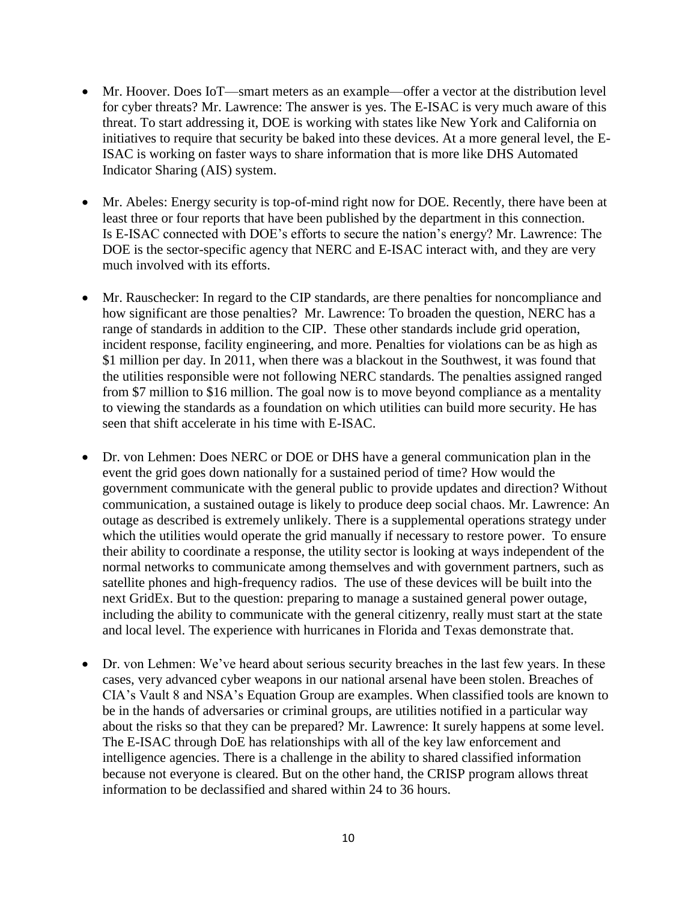- Mr. Hoover. Does IoT—smart meters as an example—offer a vector at the distribution level for cyber threats? Mr. Lawrence: The answer is yes. The E-ISAC is very much aware of this threat. To start addressing it, DOE is working with states like New York and California on initiatives to require that security be baked into these devices. At a more general level, the E-ISAC is working on faster ways to share information that is more like DHS Automated Indicator Sharing (AIS) system.
- Mr. Abeles: Energy security is top-of-mind right now for DOE. Recently, there have been at least three or four reports that have been published by the department in this connection. Is E-ISAC connected with DOE's efforts to secure the nation's energy? Mr. Lawrence: The DOE is the sector-specific agency that NERC and E-ISAC interact with, and they are very much involved with its efforts.
- Mr. Rauschecker: In regard to the CIP standards, are there penalties for noncompliance and how significant are those penalties? Mr. Lawrence: To broaden the question, NERC has a range of standards in addition to the CIP. These other standards include grid operation, incident response, facility engineering, and more. Penalties for violations can be as high as \$1 million per day. In 2011, when there was a blackout in the Southwest, it was found that the utilities responsible were not following NERC standards. The penalties assigned ranged from \$7 million to \$16 million. The goal now is to move beyond compliance as a mentality to viewing the standards as a foundation on which utilities can build more security. He has seen that shift accelerate in his time with E-ISAC.
- Dr. von Lehmen: Does NERC or DOE or DHS have a general communication plan in the event the grid goes down nationally for a sustained period of time? How would the government communicate with the general public to provide updates and direction? Without communication, a sustained outage is likely to produce deep social chaos. Mr. Lawrence: An outage as described is extremely unlikely. There is a supplemental operations strategy under which the utilities would operate the grid manually if necessary to restore power. To ensure their ability to coordinate a response, the utility sector is looking at ways independent of the normal networks to communicate among themselves and with government partners, such as satellite phones and high-frequency radios. The use of these devices will be built into the next GridEx. But to the question: preparing to manage a sustained general power outage, including the ability to communicate with the general citizenry, really must start at the state and local level. The experience with hurricanes in Florida and Texas demonstrate that.
- Dr. von Lehmen: We've heard about serious security breaches in the last few years. In these cases, very advanced cyber weapons in our national arsenal have been stolen. Breaches of CIA's Vault 8 and NSA's Equation Group are examples. When classified tools are known to be in the hands of adversaries or criminal groups, are utilities notified in a particular way about the risks so that they can be prepared? Mr. Lawrence: It surely happens at some level. The E-ISAC through DoE has relationships with all of the key law enforcement and intelligence agencies. There is a challenge in the ability to shared classified information because not everyone is cleared. But on the other hand, the CRISP program allows threat information to be declassified and shared within 24 to 36 hours.